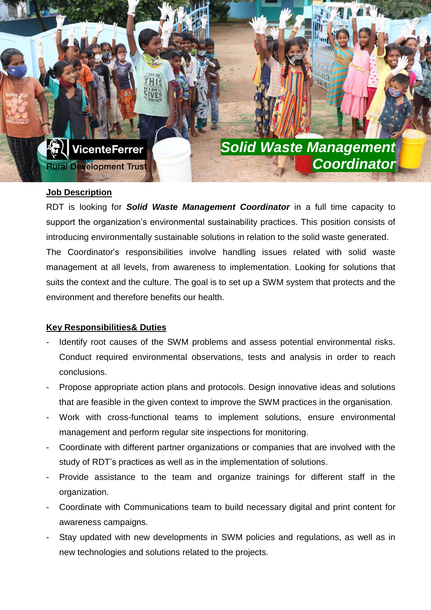

### **Job Description**

RDT is looking for *Solid Waste Management Coordinator* in a full time capacity to support the organization's environmental sustainability practices. This position consists of introducing environmentally sustainable solutions in relation to the solid waste generated. The Coordinator's responsibilities involve handling issues related with solid waste management at all levels, from awareness to implementation. Looking for solutions that suits the context and the culture. The goal is to set up a SWM system that protects and the environment and therefore benefits our health.

### **Key Responsibilities& Duties**

- Identify root causes of the SWM problems and assess potential environmental risks. Conduct required environmental observations, tests and analysis in order to reach conclusions.
- Propose appropriate action plans and protocols. Design innovative ideas and solutions that are feasible in the given context to improve the SWM practices in the organisation.
- Work with cross-functional teams to implement solutions, ensure environmental management and perform regular site inspections for monitoring.
- Coordinate with different partner organizations or companies that are involved with the study of RDT's practices as well as in the implementation of solutions.
- Provide assistance to the team and organize trainings for different staff in the organization.
- Coordinate with Communications team to build necessary digital and print content for awareness campaigns.
- Stay updated with new developments in SWM policies and regulations, as well as in new technologies and solutions related to the projects.